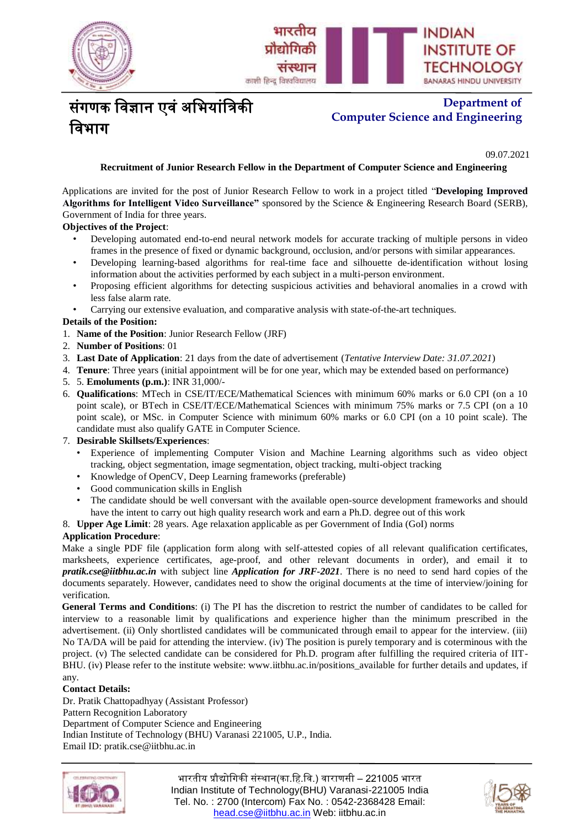



# संगणक विज्ञान एवं अभियांत्रिकी विभाग

# **Department of Computer Science and Engineering**

**. No.: IIT(BHU)/CSE/2019-20/ Date: 08.01.20**09.07.2021

## **Recruitment of Junior Research Fellow in the Department of Computer Science and Engineering**

Applications are invited for the post of Junior Research Fellow to work in a project titled "**Developing Improved Algorithms for Intelligent Video Surveillance"** sponsored by the Science & Engineering Research Board (SERB), Government of India for three years.

## **Objectives of the Project**:

- Developing automated end-to-end neural network models for accurate tracking of multiple persons in video frames in the presence of fixed or dynamic background, occlusion, and/or persons with similar appearances.
- Developing learning-based algorithms for real-time face and silhouette de-identification without losing information about the activities performed by each subject in a multi-person environment.
- Proposing efficient algorithms for detecting suspicious activities and behavioral anomalies in a crowd with less false alarm rate.
- Carrying our extensive evaluation, and comparative analysis with state-of-the-art techniques.

## **Details of the Position:**

- 1. **Name of the Position**: Junior Research Fellow (JRF)
- 2. **Number of Positions**: 01
- 3. **Last Date of Application**: 21 days from the date of advertisement (*Tentative Interview Date: 31.07.2021*)
- 4. **Tenure**: Three years (initial appointment will be for one year, which may be extended based on performance)
- 5. 5. **Emoluments (p.m.)**: INR 31,000/-
- 6. **Qualifications**: MTech in CSE/IT/ECE/Mathematical Sciences with minimum 60% marks or 6.0 CPI (on a 10 point scale), or BTech in CSE/IT/ECE/Mathematical Sciences with minimum 75% marks or 7.5 CPI (on a 10 point scale), or MSc. in Computer Science with minimum 60% marks or 6.0 CPI (on a 10 point scale). The candidate must also qualify GATE in Computer Science.
- 7. **Desirable Skillsets/Experiences**:
	- Experience of implementing Computer Vision and Machine Learning algorithms such as video object tracking, object segmentation, image segmentation, object tracking, multi-object tracking
	- Knowledge of OpenCV, Deep Learning frameworks (preferable)
	- Good communication skills in English
	- The candidate should be well conversant with the available open-source development frameworks and should have the intent to carry out high quality research work and earn a Ph.D. degree out of this work
- 8. **Upper Age Limit**: 28 years. Age relaxation applicable as per Government of India (GoI) norms

## **Application Procedure**:

Make a single PDF file (application form along with self-attested copies of all relevant qualification certificates, marksheets, experience certificates, age-proof, and other relevant documents in order), and email it to *pratik.cse@iitbhu.ac.in* with subject line *Application for JRF-2021*. There is no need to send hard copies of the documents separately. However, candidates need to show the original documents at the time of interview/joining for verification.

**General Terms and Conditions**: (i) The PI has the discretion to restrict the number of candidates to be called for interview to a reasonable limit by qualifications and experience higher than the minimum prescribed in the advertisement. (ii) Only shortlisted candidates will be communicated through email to appear for the interview. (iii) No TA/DA will be paid for attending the interview. (iv) The position is purely temporary and is coterminous with the project. (v) The selected candidate can be considered for Ph.D. program after fulfilling the required criteria of IIT-BHU. (iv) Please refer to the institute website: www.iitbhu.ac.in/positions\_available for further details and updates, if any.

## **Contact Details:**

Dr. Pratik Chattopadhyay (Assistant Professor) Pattern Recognition Laboratory Department of Computer Science and Engineering Indian Institute of Technology (BHU) Varanasi 221005, U.P., India. Email ID: pratik.cse@iitbhu.ac.in



भारतीय प्रौद्योगिकी संस्थान(का.हि.वि.) वाराणसी – 221005 भारत Indian Institute of Technology(BHU) Varanasi-221005 India Tel. No. : 2700 (Intercom) Fax No. : 0542-2368428 Email: [head.cse@iitbhu.ac.in](mailto:head.cse@iitbhu.ac.in) Web: iitbhu.ac.in

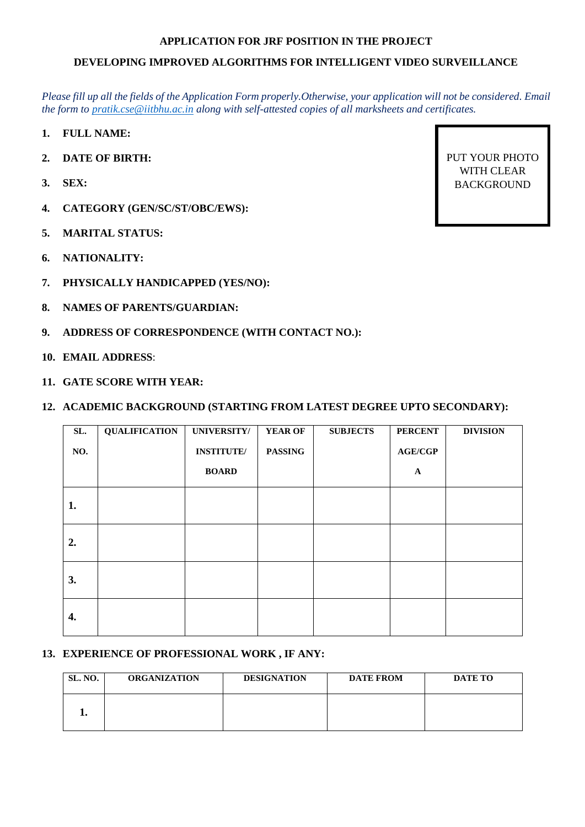## **APPLICATION FOR JRF POSITION IN THE PROJECT**

# **DEVELOPING IMPROVED ALGORITHMS FOR INTELLIGENT VIDEO SURVEILLANCE**

*Please fill up all the fields of the Application Form properly.Otherwise, your application will not be considered. Email the form to [pratik.cse@iitbhu.ac.in](mailto:pratik.cse@iitbhu.ac.in) along with self-attested copies of all marksheets and certificates.*

- **1. FULL NAME:**
- **2. DATE OF BIRTH:**
- **3. SEX:**
- **4. CATEGORY (GEN/SC/ST/OBC/EWS):**
- **5. MARITAL STATUS:**
- **6. NATIONALITY:**
- **7. PHYSICALLY HANDICAPPED (YES/NO):**
- **8. NAMES OF PARENTS/GUARDIAN:**
- **9. ADDRESS OF CORRESPONDENCE (WITH CONTACT NO.):**
- **10. EMAIL ADDRESS**:
- **11. GATE SCORE WITH YEAR:**

## **12. ACADEMIC BACKGROUND (STARTING FROM LATEST DEGREE UPTO SECONDARY):**

| SL. | <b>QUALIFICATION</b> | <b>UNIVERSITY/</b> | <b>YEAR OF</b> | <b>SUBJECTS</b> | <b>PERCENT</b> | <b>DIVISION</b> |
|-----|----------------------|--------------------|----------------|-----------------|----------------|-----------------|
| NO. |                      | <b>INSTITUTE/</b>  | <b>PASSING</b> |                 | AGE/CGP        |                 |
|     |                      | <b>BOARD</b>       |                |                 | $\mathbf{A}$   |                 |
| 1.  |                      |                    |                |                 |                |                 |
| 2.  |                      |                    |                |                 |                |                 |
| 3.  |                      |                    |                |                 |                |                 |
| 4.  |                      |                    |                |                 |                |                 |

## **13. EXPERIENCE OF PROFESSIONAL WORK , IF ANY:**

| <b>SL. NO.</b> | <b>ORGANIZATION</b> | <b>DESIGNATION</b> | <b>DATE FROM</b> | <b>DATE TO</b> |
|----------------|---------------------|--------------------|------------------|----------------|
|                |                     |                    |                  |                |

PUT YOUR PHOTO WITH CLEAR BACKGROUND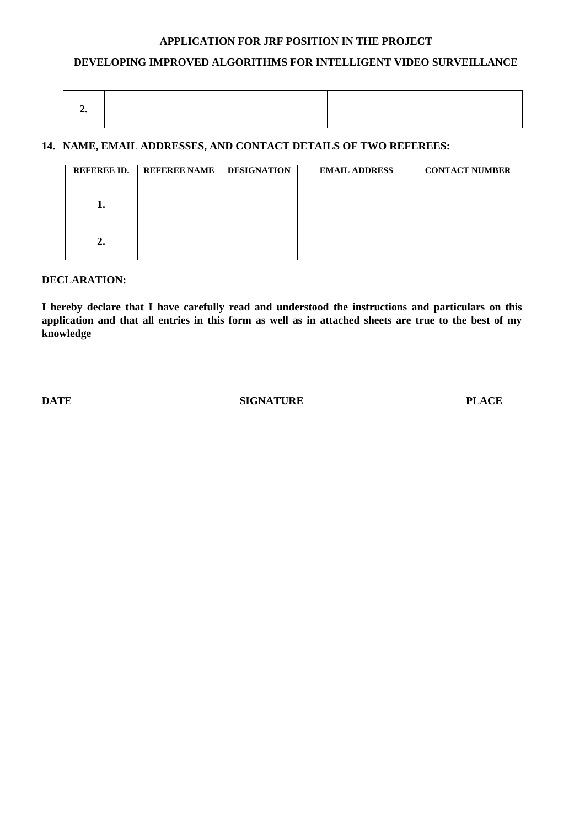# **APPLICATION FOR JRF POSITION IN THE PROJECT**

# **DEVELOPING IMPROVED ALGORITHMS FOR INTELLIGENT VIDEO SURVEILLANCE**

# **14. NAME, EMAIL ADDRESSES, AND CONTACT DETAILS OF TWO REFEREES:**

| <b>REFEREE ID.</b> | <b>REFEREE NAME</b> | <b>DESIGNATION</b> | <b>EMAIL ADDRESS</b> | <b>CONTACT NUMBER</b> |
|--------------------|---------------------|--------------------|----------------------|-----------------------|
|                    |                     |                    |                      |                       |
| ،،                 |                     |                    |                      |                       |

## **DECLARATION:**

**I hereby declare that I have carefully read and understood the instructions and particulars on this application and that all entries in this form as well as in attached sheets are true to the best of my knowledge**

**DATE** SIGNATURE PLACE